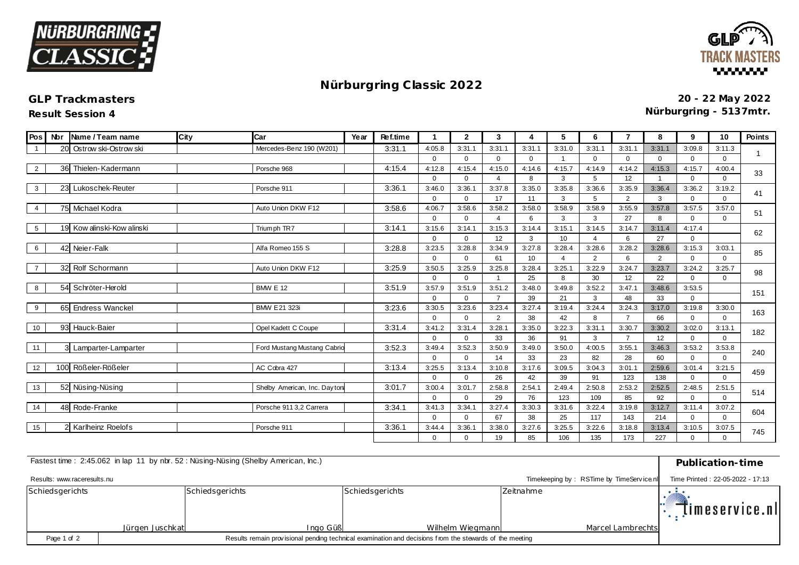



## **Nürburgring C lassic 2022**

## **GLP Trackmasters**

**Result Session 4**

**20 - 22 May 2022 Nürburgring - 5137mtr.**

| Pos            | <b>Nbr</b> | Name / Team name        | City | Car                          | Year | Ref.time |                    | $\mathbf{2}$           | 3                        | 4            | 5                        | 6             | $\overline{7}$ | 8              | 9                     | 10                    | <b>Points</b> |
|----------------|------------|-------------------------|------|------------------------------|------|----------|--------------------|------------------------|--------------------------|--------------|--------------------------|---------------|----------------|----------------|-----------------------|-----------------------|---------------|
|                | 20         | Ostrow ski-Ostrow ski   |      | Mercedes-Benz 190 (W201)     |      | 3:31.1   | 4:05.8             | 3:31.1                 | 3:31.1                   | 3:31.1       | 3:31.0                   | 3:31.1        | 3:31.1         | 3:31.1         | 3:09.8                | 3:11.3                |               |
|                |            |                         |      |                              |      |          | $\Omega$           | $\Omega$               | $\mathbf 0$              | $\Omega$     |                          | $\Omega$      | $\Omega$       | 0              | 0                     | $\Omega$              |               |
| 2              |            | 36 Thielen-Kadermann    |      | Porsche 968                  |      | 4:15.4   | 4:12.8             | 4:15.4                 | 4:15.0                   | 4:14.6       | 4:15.7                   | 4:14.9        | 4:14.2         | 4:15.3         | 4:15.7                | 4:00.4                | 33            |
|                |            |                         |      |                              |      |          | $\Omega$           | $\Omega$               | $\boldsymbol{\varDelta}$ | 8            | 3                        | 5             | 12             | $\mathbf 1$    | $\Omega$              | $\Omega$              |               |
| 3              |            | 23 Lukoschek-Reuter     |      | Porsche 911                  |      | 3:36.1   | 3:46.0             | 3:36.1                 | 3:37.8                   | 3:35.0       | 3:35.8                   | 3:36.6        | 3:35.9         | 3:36.4         | 3:36.2                | 3:19.2                | 41            |
|                |            |                         |      |                              |      |          | $\Omega$           | $\Omega$               | 17                       | 11           | 3                        | 5             | $\overline{2}$ | 3              | $\Omega$              | $\Omega$              |               |
| $\overline{4}$ |            | 75 Michael Kodra        |      | Auto Union DKW F12           |      | 3:58.6   | 4:06.7             | 3:58.6                 | 3:58.2                   | 3:58.0       | 3:58.9                   | 3:58.9        | 3:55.9         | 3:57.8         | 3:57.5                | 3:57.0                | 51            |
|                |            |                         |      |                              |      |          | $\Omega$           | $\Omega$               | $\boldsymbol{\varDelta}$ | 6            | 3                        | 3             | 27             | 8              | $\Omega$              | $\Omega$              |               |
| 5              | 19         | Kow alinski-Kow alinski |      | Trium ph TR7                 |      | 3:14.1   | 3:15.6             | 3:14.1                 | 3:15.3                   | 3:14.4       | 3:15.1                   | 3:14.5        | 3:14.7         | 3:11.4         | 4:17.4                |                       | 62            |
|                |            |                         |      |                              |      |          | $\Omega$           | $\Omega$               | 12                       | 3            | 10 <sup>10</sup>         |               | 6              | 27             | $\Omega$              |                       |               |
| 6              |            | 42 Neier-Falk           |      | Alfa Romeo 155 S             |      | 3:28.8   | 3:23.5             | 3:28.8                 | 3:34.9                   | 3:27.8       | 3:28.4                   | 3:28.6        | 3:28.2         | 3:28.6         | 3:15.3                | 3:03.1                | 85            |
|                |            |                         |      |                              |      |          | $\Omega$           | $\Omega$               | 61                       | 10           | $\boldsymbol{\varDelta}$ | 2             | 6              | $\overline{2}$ | $\mathbf 0$           | $\Omega$              |               |
| $\overline{7}$ |            | 32 Rolf Schormann       |      | Auto Union DKW F12           |      | 3:25.9   | 3:50.5             | 3:25.9                 | 3:25.8                   | 3:28.4       | 3:25.1                   | 3:22.9        | 3:24.7         | 3:23.7         | 3:24.2                | 3:25.7                | 98            |
|                |            |                         |      |                              |      |          | $\Omega$           | $\mathbf 0$            |                          | 25           | 8                        | 30            | 12             | 22             | $\Omega$              | $\Omega$              |               |
| 8              |            | 54 Schröter-Herold      |      | <b>BMW E 12</b>              |      | 3:51.9   | 3:57.9             | 3:51.9                 | 3:51.2                   | 3:48.0       | 3:49.8                   | 3:52.2        | 3:47.7         | 3:48.6         | 3:53.5                |                       | 151           |
|                |            |                         |      |                              |      |          | $\Omega$           | $\Omega$               | $\overline{7}$           | 39           | 21                       | 3             | 48             | 33             | $\Omega$              |                       |               |
| 9              |            | 65 Endress Wanckel      |      | BMW E21 323i                 |      | 3:23.6   | 3:30.5             | 3:23.6                 | 3:23.4                   | 3:27.4       | 3:19.4                   | 3:24.4        | 3:24.3         | 3:17.0         | 3:19.8                | 3:30.0                | 163           |
|                |            |                         |      |                              |      |          | $\Omega$           | $\Omega$               | $\overline{2}$           | 38           | 42                       | 8             | $\overline{7}$ | 66             | $\mathbf 0$           | $\Omega$              |               |
| 10             |            | 93 Hauck-Baier          |      | Opel Kadett C Coupe          |      | 3:31.4   | 3:41.2             | 3:31.4                 | 3:28.1                   | 3:35.0       | 3:22.3                   | 3:31.1        | 3:30.7         | 3:30.2         | 3:02.0                | 3:13.1                | 182           |
|                |            |                         |      |                              |      |          | $\Omega$           | $\Omega$               | 33                       | 36           | 91                       | 3             | $\overline{7}$ | 12             | $\Omega$              | $\Omega$              |               |
| 11             |            | 3 Lamparter-Lamparter   |      | Ford Mustang Mustang Cabric  |      | 3:52.3   | 3:49.4             | 3:52.3                 | 3:50.9                   | 3:49.0       | 3:50.0                   | 4:00.5        | 3:55.7         | 3:46.3         | 3:53.2                | 3:53.8                | 240           |
|                |            | Rößeler-Rößeler         |      |                              |      |          | $\Omega$           | $\mathbf 0$            | 14                       | 33           | 23                       | 82            | 28             | 60             | $\Omega$              | $\Omega$              |               |
| 12             | 100        |                         |      | AC Cobra 427                 |      | 3:13.4   | 3:25.5<br>$\Omega$ | 3:13.4                 | 3:10.8                   | 3:17.6       | 3:09.5                   | 3:04.3        | 3:01.7         | 2:59.6         | 3:01.4                | 3:21.5                | 459           |
|                |            |                         |      |                              |      |          |                    | $\Omega$               | 26                       | 42           | 39                       | 91            | 123            | 138            | $\Omega$              | $\Omega$              |               |
| 13             |            | 52 Nüsing-Nüsing        |      | Shelby American, Inc. Dayton |      | 3:01.7   | 3:00.4             | 3:01.7<br>$\Omega$     | 2:58.8                   | 2:54.1       | 2:49.4                   | 2:50.8<br>109 | 2:53.2         | 2:52.5         | 2:48.5                | 2:51.5<br>$\Omega$    | 514           |
|                |            | 48 Rode-Franke          |      |                              |      | 3:34.1   | $\Omega$           |                        | 29                       | 76           | 123                      |               | 85             | 92             | $\mathbf 0$           |                       |               |
| 14             |            |                         |      | Porsche 911 3,2 Carrera      |      |          | 3:41.3<br>$\Omega$ | 3:34.1                 | 3:27.4<br>67             | 3:30.3<br>38 | 3:31.6<br>25             | 3:22.4<br>117 | 3:19.8<br>143  | 3:12.7<br>214  | 3:11.4<br>$\mathbf 0$ | 3:07.2<br>$\mathbf 0$ | 604           |
| 15             |            | 2 Karlheinz Roelofs     |      | Porsche 911                  |      | 3:36.1   | 3:44.4             | $\mathbf{0}$<br>3:36.1 | 3:38.0                   | 3:27.6       | 3:25.5                   | 3:22.6        | 3:18.8         | 3:13.4         | 3:10.5                | 3:07.5                |               |
|                |            |                         |      |                              |      |          | $\Omega$           | $\Omega$               | 19                       | 85           | 106                      | 135           | 173            | 227            | $\Omega$              | $\Omega$              | 745           |
|                |            |                         |      |                              |      |          |                    |                        |                          |              |                          |               |                |                |                       |                       |               |

| Fastest time: 2:45.062 in lap 11 by nbr. 52: Nüsing-Nüsing (Shelby American, Inc.) | Publication-time                                                             |                 |                  |                   |                |
|------------------------------------------------------------------------------------|------------------------------------------------------------------------------|-----------------|------------------|-------------------|----------------|
| Results: www.raceresults.nu                                                        | Timekeeping by: RSTime by TimeService.nl<br>Time Printed: 22-05-2022 - 17:13 |                 |                  |                   |                |
| Schiedsgerichts                                                                    |                                                                              | Schiedsgerichts | Schiedsgerichts  | Zeitnahme         | Timeservice.nl |
|                                                                                    | Jürgen Juschkat                                                              | Ingo Güß        | Wilhelm Wiegmann | Marcel Lambrechts |                |
| Page 1 of 2                                                                        |                                                                              |                 |                  |                   |                |